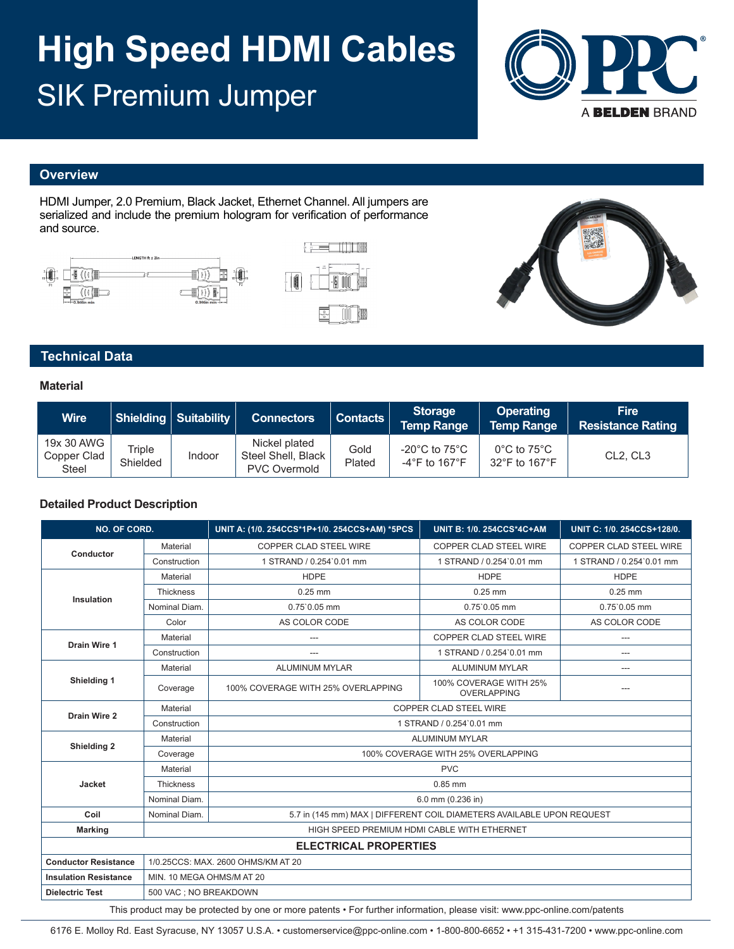# **High Speed HDMI Cables**  SIK Premium Jumper



### **Overview**

HDMI Jumper, 2.0 Premium, Black Jacket, Ethernet Channel. All jumpers are serialized and include the premium hologram for verification of performance and source.







## **Technical Data**

#### **Material**

| <b>Wire</b>                               |                    | <b>Shielding Suitability</b> | <b>Connectors</b>                                          | <b>Contacts</b> | <b>Storage</b><br><b>Temp Range</b>                                      | <b>Operating</b><br><b>Temp Range</b>             | <b>Fire</b><br><b>Resistance Rating</b> |
|-------------------------------------------|--------------------|------------------------------|------------------------------------------------------------|-----------------|--------------------------------------------------------------------------|---------------------------------------------------|-----------------------------------------|
| 19x 30 AWG<br>Copper Clad<br><b>Steel</b> | Triple<br>Shielded | <b>Indoor</b>                | Nickel plated<br>Steel Shell, Black<br><b>PVC Overmold</b> | Gold<br>Plated  | -20 $^{\circ}$ C to 75 $^{\circ}$ C<br>-4 $\degree$ F to 167 $\degree$ F | $0^{\circ}$ C to 75 $^{\circ}$ C<br>32°F to 167°F | CL <sub>2</sub> , CL <sub>3</sub>       |

#### **Detailed Product Description**

| NO. OF CORD.                 |                                                                                        | UNIT A: (1/0. 254CCS*1P+1/0. 254CCS+AM) *5PCS | <b>UNIT B: 1/0. 254CCS*4C+AM</b>             | UNIT C: 1/0. 254CCS+128/0.    |  |  |  |
|------------------------------|----------------------------------------------------------------------------------------|-----------------------------------------------|----------------------------------------------|-------------------------------|--|--|--|
|                              | Material                                                                               | COPPER CLAD STEEL WIRE                        | COPPER CLAD STEEL WIRE                       | <b>COPPER CLAD STEEL WIRE</b> |  |  |  |
| Conductor                    | Construction                                                                           | 1 STRAND / 0.254`0.01 mm                      | 1 STRAND / 0.254`0.01 mm                     | 1 STRAND / 0.254`0.01 mm      |  |  |  |
|                              | Material                                                                               | <b>HDPE</b>                                   | <b>HDPE</b>                                  | <b>HDPE</b>                   |  |  |  |
|                              | Thickness                                                                              | $0.25$ mm                                     | $0.25$ mm                                    | $0.25$ mm                     |  |  |  |
| Insulation                   | Nominal Diam.                                                                          | $0.75$ `0.05 mm                               | $0.75$ `0.05 mm                              | $0.75$ `0.05 mm               |  |  |  |
|                              | Color                                                                                  | AS COLOR CODE                                 | AS COLOR CODE                                | AS COLOR CODE                 |  |  |  |
| Drain Wire 1                 | Material                                                                               | ---                                           | COPPER CLAD STEEL WIRE                       | $---$                         |  |  |  |
|                              | Construction                                                                           | $\overline{a}$                                | 1 STRAND / 0.254`0.01 mm                     | $\overline{a}$                |  |  |  |
| Shielding 1                  | Material                                                                               | <b>ALUMINUM MYLAR</b>                         | <b>ALUMINUM MYLAR</b>                        | ---                           |  |  |  |
|                              | Coverage                                                                               | 100% COVERAGE WITH 25% OVERLAPPING            | 100% COVERAGE WITH 25%<br><b>OVERLAPPING</b> | ---                           |  |  |  |
| Drain Wire 2                 | Material                                                                               | <b>COPPER CLAD STEEL WIRE</b>                 |                                              |                               |  |  |  |
|                              | Construction                                                                           | 1 STRAND / 0.254`0.01 mm                      |                                              |                               |  |  |  |
|                              | Material                                                                               | <b>ALUMINUM MYLAR</b>                         |                                              |                               |  |  |  |
| Shielding 2                  | Coverage                                                                               | 100% COVERAGE WITH 25% OVERLAPPING            |                                              |                               |  |  |  |
|                              | <b>PVC</b><br>Material                                                                 |                                               |                                              |                               |  |  |  |
| Jacket                       | <b>Thickness</b>                                                                       | $0.85$ mm                                     |                                              |                               |  |  |  |
|                              | Nominal Diam.                                                                          | 6.0 mm (0.236 in)                             |                                              |                               |  |  |  |
| Coil                         | Nominal Diam.<br>5.7 in (145 mm) MAX   DIFFERENT COIL DIAMETERS AVAILABLE UPON REQUEST |                                               |                                              |                               |  |  |  |
| <b>Marking</b>               | HIGH SPEED PREMIUM HDMI CABLE WITH ETHERNET                                            |                                               |                                              |                               |  |  |  |
| <b>ELECTRICAL PROPERTIES</b> |                                                                                        |                                               |                                              |                               |  |  |  |
| <b>Conductor Resistance</b>  | 1/0.25CCS: MAX, 2600 OHMS/KM AT 20                                                     |                                               |                                              |                               |  |  |  |
| <b>Insulation Resistance</b> | MIN. 10 MEGA OHMS/M AT 20                                                              |                                               |                                              |                               |  |  |  |
| <b>Dielectric Test</b>       | 500 VAC ; NO BREAKDOWN                                                                 |                                               |                                              |                               |  |  |  |

This product may be protected by one or more patents • For further information, please visit: www.ppc-online.com/patents

6176 E. Molloy Rd. East Syracuse, NY 13057 U.S.A. • customerservice@ppc-online.com • 1-800-800-6652 • +1 315-431-7200 • www.ppc-online.com